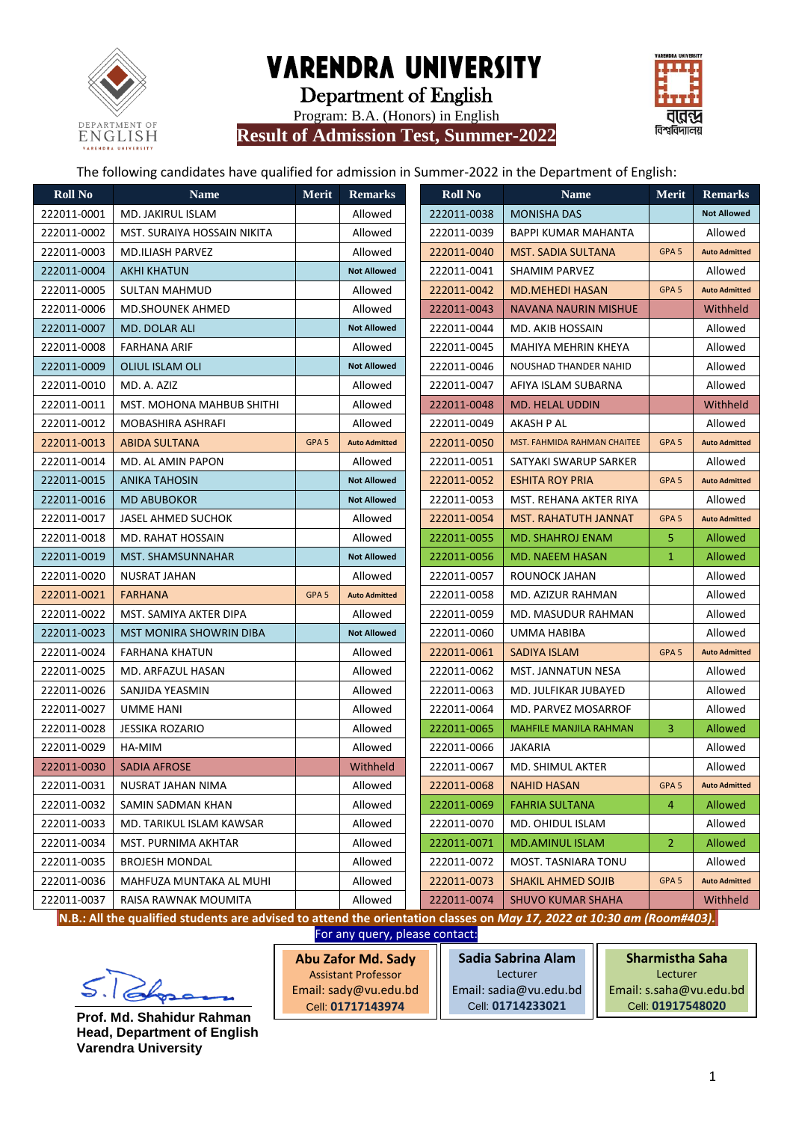

Department of English

Program: B.A. (Honors) in English





The following candidates have qualified for admission in Summer-2022 in the Department of English:

| <b>Roll No</b> | <b>Name</b>                                                                                                            | <b>Merit</b>     | <b>Remarks</b>       | <b>Roll No</b> |                               | <b>Name</b> | <b>Merit</b>     |
|----------------|------------------------------------------------------------------------------------------------------------------------|------------------|----------------------|----------------|-------------------------------|-------------|------------------|
| 222011-0001    | MD. JAKIRUL ISLAM                                                                                                      |                  | Allowed              | 222011-0038    | <b>MONISHA DAS</b>            |             |                  |
| 222011-0002    | MST. SURAIYA HOSSAIN NIKITA                                                                                            |                  | Allowed              | 222011-0039    | <b>BAPPI KUMAR MAHANTA</b>    |             |                  |
| 222011-0003    | MD.ILIASH PARVEZ                                                                                                       |                  | Allowed              | 222011-0040    | <b>MST. SADIA SULTANA</b>     |             | GPA <sub>5</sub> |
| 222011-0004    | <b>AKHI KHATUN</b>                                                                                                     |                  | <b>Not Allowed</b>   | 222011-0041    | SHAMIM PARVEZ                 |             |                  |
| 222011-0005    | SULTAN MAHMUD                                                                                                          |                  | Allowed              | 222011-0042    | <b>MD.MEHEDI HASAN</b>        |             | GPA <sub>5</sub> |
| 222011-0006    | <b>MD.SHOUNEK AHMED</b>                                                                                                |                  | Allowed              | 222011-0043    | NAVANA NAURIN MISHUE          |             |                  |
| 222011-0007    | MD. DOLAR ALI                                                                                                          |                  | <b>Not Allowed</b>   | 222011-0044    | MD. AKIB HOSSAIN              |             |                  |
| 222011-0008    | <b>FARHANA ARIF</b>                                                                                                    |                  | Allowed              | 222011-0045    | MAHIYA MEHRIN KHEYA           |             |                  |
| 222011-0009    | OLIUL ISLAM OLI                                                                                                        |                  | <b>Not Allowed</b>   | 222011-0046    | NOUSHAD THANDER NAHID         |             |                  |
| 222011-0010    | MD. A. AZIZ                                                                                                            |                  | Allowed              | 222011-0047    | AFIYA ISLAM SUBARNA           |             |                  |
| 222011-0011    | MST. MOHONA MAHBUB SHITHI                                                                                              |                  | Allowed              | 222011-0048    | <b>MD. HELAL UDDIN</b>        |             |                  |
| 222011-0012    | MOBASHIRA ASHRAFI                                                                                                      |                  | Allowed              | 222011-0049    | AKASH P AL                    |             |                  |
| 222011-0013    | <b>ABIDA SULTANA</b>                                                                                                   | GPA <sub>5</sub> | <b>Auto Admitted</b> | 222011-0050    | MST. FAHMIDA RAHMAN CHAITEE   |             | GPA <sub>5</sub> |
| 222011-0014    | MD. AL AMIN PAPON                                                                                                      |                  | Allowed              | 222011-0051    | SATYAKI SWARUP SARKER         |             |                  |
| 222011-0015    | <b>ANIKA TAHOSIN</b>                                                                                                   |                  | <b>Not Allowed</b>   | 222011-0052    | <b>ESHITA ROY PRIA</b>        |             | GPA <sub>5</sub> |
| 222011-0016    | <b>MD ABUBOKOR</b>                                                                                                     |                  | <b>Not Allowed</b>   | 222011-0053    | MST. REHANA AKTER RIYA        |             |                  |
| 222011-0017    | JASEL AHMED SUCHOK                                                                                                     |                  | Allowed              | 222011-0054    | MST. RAHATUTH JANNAT          |             | GPA <sub>5</sub> |
| 222011-0018    | MD. RAHAT HOSSAIN                                                                                                      |                  | Allowed              | 222011-0055    | <b>MD. SHAHROJ ENAM</b>       |             | 5                |
| 222011-0019    | <b>MST. SHAMSUNNAHAR</b>                                                                                               |                  | <b>Not Allowed</b>   | 222011-0056    | MD. NAEEM HASAN               |             | $\mathbf{1}$     |
| 222011-0020    | NUSRAT JAHAN                                                                                                           |                  | Allowed              | 222011-0057    | ROUNOCK JAHAN                 |             |                  |
| 222011-0021    | <b>FARHANA</b>                                                                                                         | GPA <sub>5</sub> | <b>Auto Admitted</b> | 222011-0058    | MD. AZIZUR RAHMAN             |             |                  |
| 222011-0022    | MST. SAMIYA AKTER DIPA                                                                                                 |                  | Allowed              | 222011-0059    | MD. MASUDUR RAHMAN            |             |                  |
| 222011-0023    | <b>MST MONIRA SHOWRIN DIBA</b>                                                                                         |                  | <b>Not Allowed</b>   | 222011-0060    | UMMA HABIBA                   |             |                  |
| 222011-0024    | FARHANA KHATUN                                                                                                         |                  | Allowed              | 222011-0061    | <b>SADIYA ISLAM</b>           |             | GPA <sub>5</sub> |
| 222011-0025    | MD. ARFAZUL HASAN                                                                                                      |                  | Allowed              | 222011-0062    | MST. JANNATUN NESA            |             |                  |
| 222011-0026    | SANJIDA YEASMIN                                                                                                        |                  | Allowed              | 222011-0063    | MD. JULFIKAR JUBAYED          |             |                  |
| 222011-0027    | UMME HANI                                                                                                              |                  | Allowed              | 222011-0064    | MD. PARVEZ MOSARROF           |             |                  |
| 222011-0028    | <b>JESSIKA ROZARIO</b>                                                                                                 |                  | Allowed              | 222011-0065    | <b>MAHFILE MANJILA RAHMAN</b> |             | 3                |
| 222011-0029    | HA-MIM                                                                                                                 |                  | Allowed              | 222011-0066    | JAKARIA                       |             |                  |
| 222011-0030    | SADIA AFROSE                                                                                                           |                  | Withheld             | 222011-0067    | MD. SHIMUL AKTER              |             |                  |
| 222011-0031    | NUSRAT JAHAN NIMA                                                                                                      |                  | Allowed              | 222011-0068    | <b>NAHID HASAN</b>            |             | GPA <sub>5</sub> |
| 222011-0032    | SAMIN SADMAN KHAN                                                                                                      |                  | Allowed              | 222011-0069    | <b>FAHRIA SULTANA</b>         |             | $\overline{4}$   |
| 222011-0033    | MD. TARIKUL ISLAM KAWSAR                                                                                               |                  | Allowed              | 222011-0070    | MD. OHIDUL ISLAM              |             |                  |
| 222011-0034    | MST. PURNIMA AKHTAR                                                                                                    |                  | Allowed              | 222011-0071    | <b>MD.AMINUL ISLAM</b>        |             | $\overline{2}$   |
| 222011-0035    | <b>BROJESH MONDAL</b>                                                                                                  |                  | Allowed              | 222011-0072    | MOST. TASNIARA TONU           |             |                  |
| 222011-0036    | MAHFUZA MUNTAKA AL MUHI                                                                                                |                  | Allowed              | 222011-0073    | <b>SHAKIL AHMED SOJIB</b>     |             | GPA <sub>5</sub> |
| 222011-0037    | RAISA RAWNAK MOUMITA                                                                                                   |                  | Allowed              | 222011-0074    | <b>SHUVO KUMAR SHAHA</b>      |             |                  |
|                | IN B . All the qualified students are advised to attend the exientation slasses on May 17, 2022 of 10:20 am (Reem#402) |                  |                      |                |                               |             |                  |

**N.B.: All the qualified students are advised to attend the orientation classes on** *May 17, 2022 at 10:30 am (Room#403).*

For any query, please contact:



**Prof. Md. Shahidur Rahman Head, Department of English Varendra University**

| <b>Abu Zafor Md. Sady</b>  | Sadia Sabrina Alam     | <b>Sharmistha Saha</b>  |  |  |  |  |
|----------------------------|------------------------|-------------------------|--|--|--|--|
| <b>Assistant Professor</b> | Lecturer               | Lecturer                |  |  |  |  |
| Email: sady@vu.edu.bd      | Email: sadia@vu.edu.bd | Email: s.saha@vu.edu.bd |  |  |  |  |
| Cell: 01717143974          | Cell: 01714233021      | Cell 01917548020        |  |  |  |  |
|                            |                        |                         |  |  |  |  |